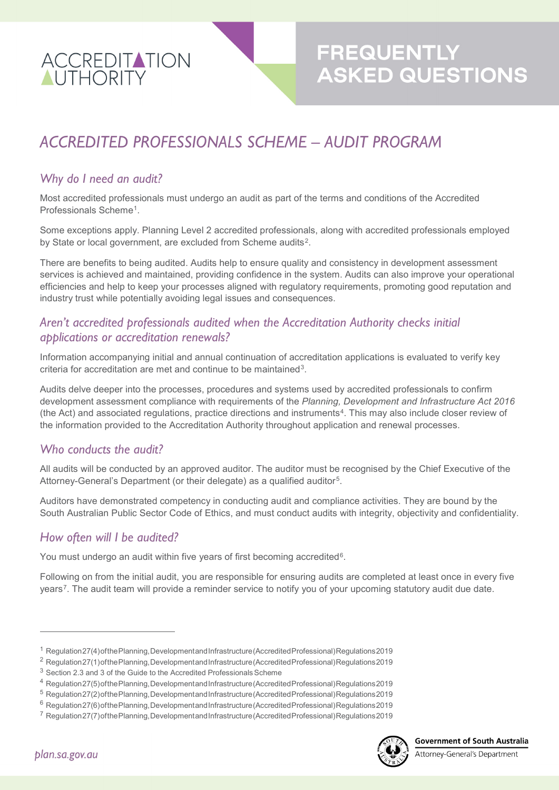

# *ACCREDITED PROFESSIONALS SCHEME – AUDIT PROGRAM*

#### *Why do I need an audit?*

Most accredited professionals must undergo an audit as part of the terms and conditions of the Accredited Professionals Scheme[1](#page-0-0).

Some exceptions apply. Planning Level 2 accredited professionals, along with accredited professionals employed by State or local government, are excluded from Scheme audits<sup>2</sup>.

There are benefits to being audited. Audits help to ensure quality and consistency in development assessment services is achieved and maintained, providing confidence in the system. Audits can also improve your operational efficiencies and help to keep your processes aligned with regulatory requirements, promoting good reputation and industry trust while potentially avoiding legal issues and consequences.

### *Aren't accredited professionals audited when the Accreditation Authority checks initial applications or accreditation renewals?*

Information accompanying initial and annual continuation of accreditation applications is evaluated to verify key criteria for accreditation are met and continue to be maintained<sup>[3](#page-0-2)</sup>.

Audits delve deeper into the processes, procedures and systems used by accredited professionals to confirm development assessment compliance with requirements of the *Planning, Development and Infrastructure Act 2016* (the Act) and associated regulations, practice directions and instruments[4](#page-0-3). This may also include closer review of the information provided to the Accreditation Authority throughout application and renewal processes.

## *Who conducts the audit?*

All audits will be conducted by an approved auditor. The auditor must be recognised by the Chief Executive of the Attorney-General's Department (or their delegate) as a qualified auditor<sup>5</sup>.

Auditors have demonstrated competency in conducting audit and compliance activities. They are bound by the South Australian Public Sector Code of Ethics, and must conduct audits with integrity, objectivity and confidentiality.

#### *How often will I be audited?*

You must undergo an audit within five years of first becoming accredited<sup>6</sup>.

Following on from the initial audit, you are responsible for ensuring audits are completed at least once in every five years<sup>[7](#page-0-6)</sup>. The audit team will provide a reminder service to notify you of your upcoming statutory audit due date.

<span id="page-0-6"></span> $7$  Regulation 27(7) of the Planning, Developmentand Infrastructure (Accredited Professional) Regulations 2019



 $\overline{a}$ 

<span id="page-0-0"></span><sup>1</sup> Regulation27(4)ofthePlanning,DevelopmentandInfrastructure(AccreditedProfessional)Regulations2019

<span id="page-0-1"></span><sup>&</sup>lt;sup>2</sup> Regulation27(1)ofthePlanning,DevelopmentandInfrastructure(AccreditedProfessional)Regulations2019

<span id="page-0-2"></span> $3$  Section 2.3 and 3 of the Guide to the Accredited Professionals Scheme

<span id="page-0-3"></span><sup>4</sup> Regulation27(5)ofthePlanning,DevelopmentandInfrastructure(AccreditedProfessional)Regulations2019

<span id="page-0-4"></span><sup>5</sup> Regulation27(2)ofthePlanning,DevelopmentandInfrastructure(AccreditedProfessional)Regulations2019

<span id="page-0-5"></span><sup>&</sup>lt;sup>6</sup> Regulation 27(6) of the Planning, Developmentand Infrastructure (Accredited Professional) Regulations 2019

Attorney-General's Department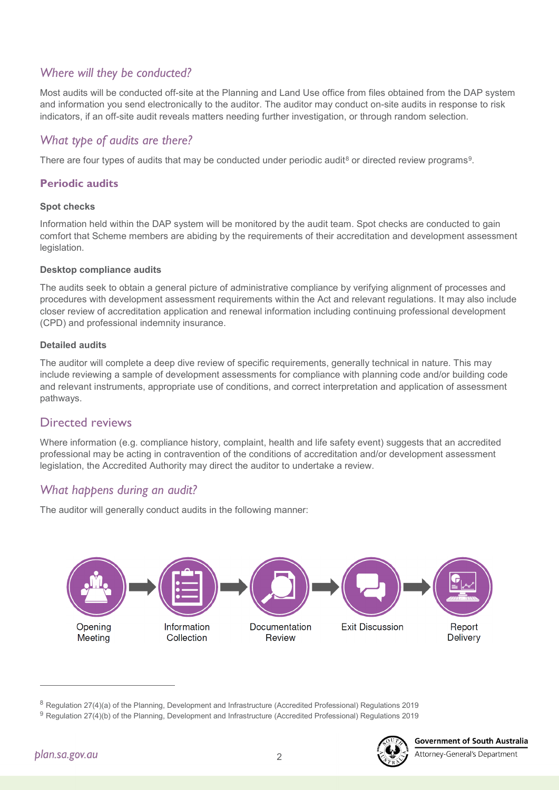# *Where will they be conducted?*

Most audits will be conducted off-site at the Planning and Land Use office from files obtained from the DAP system and information you send electronically to the auditor. The auditor may conduct on-site audits in response to risk indicators, if an off-site audit reveals matters needing further investigation, or through random selection.

# *What type of audits are there?*

There are four types of audits that may be conducted under periodic audit<sup>[8](#page-1-0)</sup> or directed review programs<sup>9</sup>.

#### **Periodic audits**

#### **Spot checks**

Information held within the DAP system will be monitored by the audit team. Spot checks are conducted to gain comfort that Scheme members are abiding by the requirements of their accreditation and development assessment legislation.

#### **Desktop compliance audits**

The audits seek to obtain a general picture of administrative compliance by verifying alignment of processes and procedures with development assessment requirements within the Act and relevant regulations. It may also include closer review of accreditation application and renewal information including continuing professional development (CPD) and professional indemnity insurance.

#### **Detailed audits**

The auditor will complete a deep dive review of specific requirements, generally technical in nature. This may include reviewing a sample of development assessments for compliance with planning code and/or building code and relevant instruments, appropriate use of conditions, and correct interpretation and application of assessment pathways.

#### Directed reviews

Where information (e.g. compliance history, complaint, health and life safety event) suggests that an accredited professional may be acting in contravention of the conditions of accreditation and/or development assessment legislation, the Accredited Authority may direct the auditor to undertake a review.

## *What happens during an audit?*

The auditor will generally conduct audits in the following manner:



 $\overline{a}$ 



Attorney-General's Department

2

<span id="page-1-0"></span><sup>8</sup> Regulation 27(4)(a) of the Planning, Development and Infrastructure (Accredited Professional) Regulations 2019

<span id="page-1-1"></span><sup>9</sup> Regulation 27(4)(b) of the Planning, Development and Infrastructure (Accredited Professional) Regulations 2019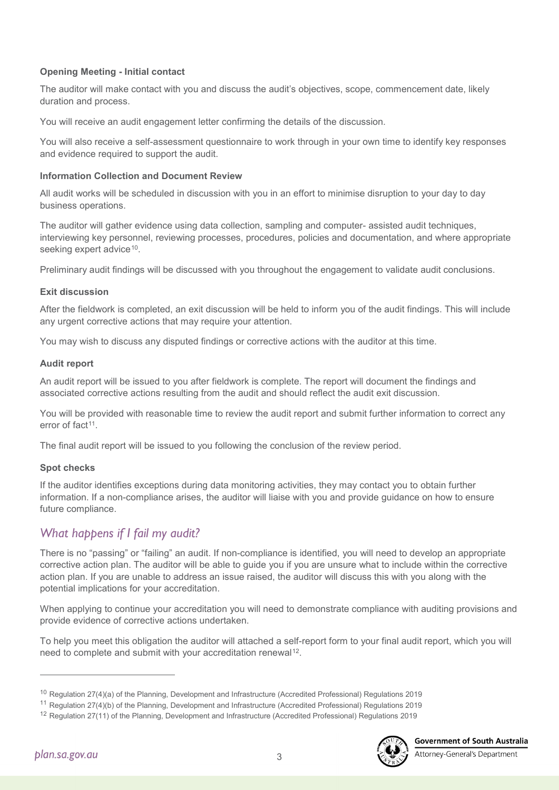#### **Opening Meeting - Initial contact**

The auditor will make contact with you and discuss the audit's objectives, scope, commencement date, likely duration and process.

You will receive an audit engagement letter confirming the details of the discussion.

You will also receive a self-assessment questionnaire to work through in your own time to identify key responses and evidence required to support the audit.

#### **Information Collection and Document Review**

All audit works will be scheduled in discussion with you in an effort to minimise disruption to your day to day business operations.

The auditor will gather evidence using data collection, sampling and computer- assisted audit techniques, interviewing key personnel, reviewing processes, procedures, policies and documentation, and where appropriate seeking expert advice<sup>[10](#page-2-0)</sup>.

Preliminary audit findings will be discussed with you throughout the engagement to validate audit conclusions.

#### **Exit discussion**

After the fieldwork is completed, an exit discussion will be held to inform you of the audit findings. This will include any urgent corrective actions that may require your attention.

You may wish to discuss any disputed findings or corrective actions with the auditor at this time.

#### **Audit report**

An audit report will be issued to you after fieldwork is complete. The report will document the findings and associated corrective actions resulting from the audit and should reflect the audit exit discussion.

You will be provided with reasonable time to review the audit report and submit further information to correct any error of fact<sup>[11](#page-2-1)</sup>

The final audit report will be issued to you following the conclusion of the review period.

#### **Spot checks**

If the auditor identifies exceptions during data monitoring activities, they may contact you to obtain further information. If a non-compliance arises, the auditor will liaise with you and provide guidance on how to ensure future compliance.

## *What happens if I fail my audit?*

There is no "passing" or "failing" an audit. If non-compliance is identified, you will need to develop an appropriate corrective action plan. The auditor will be able to guide you if you are unsure what to include within the corrective action plan. If you are unable to address an issue raised, the auditor will discuss this with you along with the potential implications for your accreditation.

When applying to continue your accreditation you will need to demonstrate compliance with auditing provisions and provide evidence of corrective actions undertaken.

To help you meet this obligation the auditor will attached a self-report form to your final audit report, which you will need to complete and submit with your accreditation renewal<sup>12</sup>.

 $\overline{a}$ 

<sup>10</sup> Regulation 27(4)(a) of the Planning, Development and Infrastructure (Accredited Professional) Regulations 2019

<span id="page-2-2"></span><span id="page-2-1"></span><span id="page-2-0"></span><sup>11</sup> Regulation 27(4)(b) of the Planning, Development and Infrastructure (Accredited Professional) Regulations 2019

<sup>&</sup>lt;sup>12</sup> Regulation 27(11) of the Planning, Development and Infrastructure (Accredited Professional) Regulations 2019